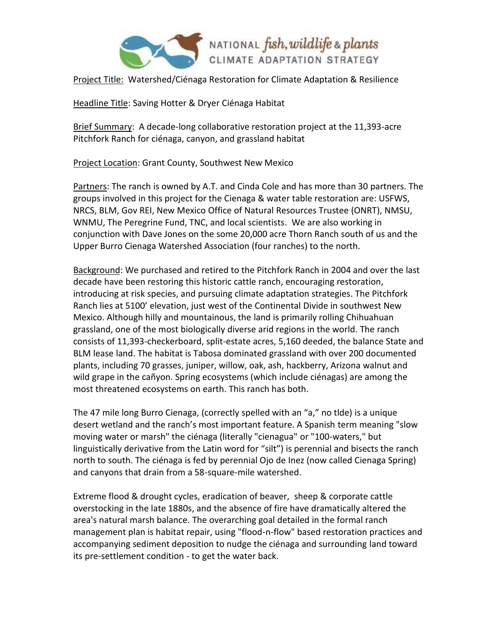

Project Title: Watershed/Ciénaga Restoration for Climate Adaptation & Resilience

Headline Title: Saving Hotter & Dryer Ciénaga Habitat

Brief Summary: A decade-long collaborative restoration project at the 11,393-acre Pitchfork Ranch for ciénaga, canyon, and grassland habitat

Project Location: Grant County, Southwest New Mexico

Partners: The ranch is owned by A.T. and Cinda Cole and has more than 30 partners. The groups involved in this project for the Cienaga & water table restoration are: USFWS, NRCS, BLM, Gov REI, New Mexico Office of Natural Resources Trustee (ONRT), NMSU, WNMU, The Peregrine Fund, TNC, and local scientists. We are also working in conjunction with Dave Jones on the some 20,000 acre Thorn Ranch south of us and the Upper Burro Cienaga Watershed Association (four ranches) to the north.

Background: We purchased and retired to the Pitchfork Ranch in 2004 and over the last decade have been restoring this historic cattle ranch, encouraging restoration, introducing at risk species, and pursuing climate adaptation strategies. The Pitchfork Ranch lies at 5100' elevation, just west of the Continental Divide in southwest New Mexico. Although hilly and mountainous, the land is primarily rolling Chihuahuan grassland, one of the most biologically diverse arid regions in the world. The ranch consists of 11,393-checkerboard, split-estate acres, 5,160 deeded, the balance State and BLM lease land. The habitat is Tabosa dominated grassland with over 200 documented plants, including 70 grasses, juniper, willow, oak, ash, hackberry, Arizona walnut and wild grape in the cañyon. Spring ecosystems (which include ciénagas) are among the most threatened ecosystems on earth. This ranch has both.

The 47 mile long Burro Cienaga, (correctly spelled with an "a," no tlde) is a unique desert wetland and the ranch's most important feature. A Spanish term meaning "slow moving water or marsh" the ciénaga (literally "cienagua" or "100-waters," but linguistically derivative from the Latin word for "silt") is perennial and bisects the ranch north to south. The ciénaga is fed by perennial Ojo de Inez (now called Cienaga Spring) and canyons that drain from a 58-square-mile watershed.

Extreme flood & drought cycles, eradication of beaver, sheep & corporate cattle overstocking in the late 1880s, and the absence of fire have dramatically altered the area's natural marsh balance. The overarching goal detailed in the formal ranch management plan is habitat repair, using "flood-n-flow" based restoration practices and accompanying sediment deposition to nudge the ciénaga and surrounding land toward its pre-settlement condition - to get the water back.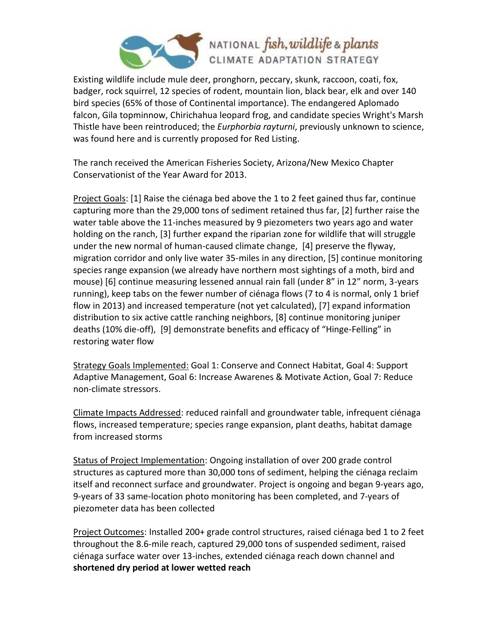

## NATIONAL fish, wildlife & plants

Existing wildlife include mule deer, pronghorn, peccary, skunk, raccoon, coati, fox, badger, rock squirrel, 12 species of rodent, mountain lion, black bear, elk and over 140 bird species (65% of those of Continental importance). The endangered Aplomado falcon, Gila topminnow, Chirichahua leopard frog, and candidate species Wright's Marsh Thistle have been reintroduced; the *Eurphorbia rayturni*, previously unknown to science, was found here and is currently proposed for Red Listing.

The ranch received the American Fisheries Society, Arizona/New Mexico Chapter Conservationist of the Year Award for 2013.

Project Goals: [1] Raise the ciénaga bed above the 1 to 2 feet gained thus far, continue capturing more than the 29,000 tons of sediment retained thus far, [2] further raise the water table above the 11-inches measured by 9 piezometers two years ago and water holding on the ranch, [3] further expand the riparian zone for wildlife that will struggle under the new normal of human-caused climate change, [4] preserve the flyway, migration corridor and only live water 35-miles in any direction, [5] continue monitoring species range expansion (we already have northern most sightings of a moth, bird and mouse) [6] continue measuring lessened annual rain fall (under 8" in 12" norm, 3-years running), keep tabs on the fewer number of ciénaga flows (7 to 4 is normal, only 1 brief flow in 2013) and increased temperature (not yet calculated), [7] expand information distribution to six active cattle ranching neighbors, [8] continue monitoring juniper deaths (10% die-off), [9] demonstrate benefits and efficacy of "Hinge-Felling" in restoring water flow

Strategy Goals Implemented: Goal 1: Conserve and Connect Habitat, Goal 4: Support Adaptive Management, Goal 6: Increase Awarenes & Motivate Action, Goal 7: Reduce non-climate stressors.

Climate Impacts Addressed: reduced rainfall and groundwater table, infrequent ciénaga flows, increased temperature; species range expansion, plant deaths, habitat damage from increased storms

Status of Project Implementation: Ongoing installation of over 200 grade control structures as captured more than 30,000 tons of sediment, helping the ciénaga reclaim itself and reconnect surface and groundwater. Project is ongoing and began 9-years ago, 9-years of 33 same-location photo monitoring has been completed, and 7-years of piezometer data has been collected

Project Outcomes: Installed 200+ grade control structures, raised ciénaga bed 1 to 2 feet throughout the 8.6-mile reach, captured 29,000 tons of suspended sediment, raised ciénaga surface water over 13-inches, extended ciénaga reach down channel and **shortened dry period at lower wetted reach**